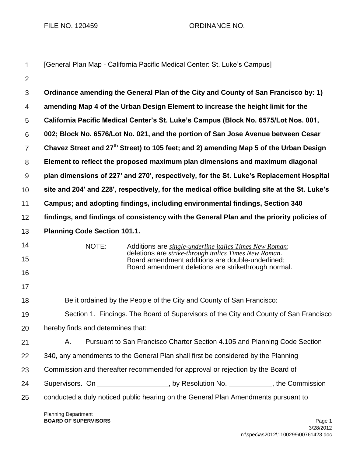FILE NO. 120459 CRDINANCE NO.

| 1              | [General Plan Map - California Pacific Medical Center: St. Luke's Campus]                                                         |
|----------------|-----------------------------------------------------------------------------------------------------------------------------------|
| $\overline{2}$ |                                                                                                                                   |
| 3              | Ordinance amending the General Plan of the City and County of San Francisco by: 1)                                                |
| 4              | amending Map 4 of the Urban Design Element to increase the height limit for the                                                   |
| 5              | California Pacific Medical Center's St. Luke's Campus (Block No. 6575/Lot Nos. 001,                                               |
| 6              | 002; Block No. 6576/Lot No. 021, and the portion of San Jose Avenue between Cesar                                                 |
| $\overline{7}$ | Chavez Street and 27 <sup>th</sup> Street) to 105 feet; and 2) amending Map 5 of the Urban Design                                 |
| 8              | Element to reflect the proposed maximum plan dimensions and maximum diagonal                                                      |
| 9              | plan dimensions of 227' and 270', respectively, for the St. Luke's Replacement Hospital                                           |
| 10             | site and 204' and 228', respectively, for the medical office building site at the St. Luke's                                      |
| 11             | Campus; and adopting findings, including environmental findings, Section 340                                                      |
| 12             | findings, and findings of consistency with the General Plan and the priority policies of                                          |
| 13             | <b>Planning Code Section 101.1.</b>                                                                                               |
| 14<br>15       | NOTE:<br>Additions are single-underline italics Times New Roman;<br>deletions are <i>strike through italics Times New Roman</i> . |
| 16             | Board amendment additions are double-underlined;<br>Board amendment deletions are strikethrough normal.                           |
| 17             |                                                                                                                                   |
| 18             | Be it ordained by the People of the City and County of San Francisco:                                                             |
| 19             | Section 1. Findings. The Board of Supervisors of the City and County of San Francisco                                             |
| 20             | hereby finds and determines that:                                                                                                 |
| 21             | Pursuant to San Francisco Charter Section 4.105 and Planning Code Section<br>Α.                                                   |
| 22             | 340, any amendments to the General Plan shall first be considered by the Planning                                                 |
| 23             | Commission and thereafter recommended for approval or rejection by the Board of                                                   |
| 24             | Supervisors. On ____________________, by Resolution No. ____________, the Commission                                              |
| 25             | conducted a duly noticed public hearing on the General Plan Amendments pursuant to                                                |
|                |                                                                                                                                   |

Planning Department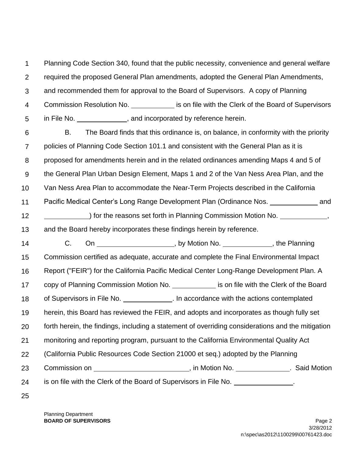1  $\mathcal{P}$ 3 4 Planning Code Section 340, found that the public necessity, convenience and general welfare required the proposed General Plan amendments, adopted the General Plan Amendments, and recommended them for approval to the Board of Supervisors. A copy of Planning Commission Resolution No. is on file with the Clerk of the Board of Supervisors

5 in File No.  $\qquad \qquad$ , and incorporated by reference herein.

6 7 8 9 10 11 12 13 14 15 16 17 18 19 20 21 B. The Board finds that this ordinance is, on balance, in conformity with the priority policies of Planning Code Section 101.1 and consistent with the General Plan as it is proposed for amendments herein and in the related ordinances amending Maps 4 and 5 of the General Plan Urban Design Element, Maps 1 and 2 of the Van Ness Area Plan, and the Van Ness Area Plan to accommodate the Near-Term Projects described in the California Pacific Medical Center's Long Range Development Plan (Ordinance Nos. and ) for the reasons set forth in Planning Commission Motion No. 1997. and the Board hereby incorporates these findings herein by reference. C. On , by Motion No. , the Planning Commission certified as adequate, accurate and complete the Final Environmental Impact Report ("FEIR") for the California Pacific Medical Center Long-Range Development Plan. A copy of Planning Commission Motion No. is on file with the Clerk of the Board of Supervisors in File No.  $\qquad \qquad$  . In accordance with the actions contemplated herein, this Board has reviewed the FEIR, and adopts and incorporates as though fully set forth herein, the findings, including a statement of overriding considerations and the mitigation monitoring and reporting program, pursuant to the California Environmental Quality Act

22 (California Public Resources Code Section 21000 et seq.) adopted by the Planning

23 Commission on **Commission on Commission on Commission on Commission on Commission on COMPIST** 

24 is on file with the Clerk of the Board of Supervisors in File No. .

25

Planning Department